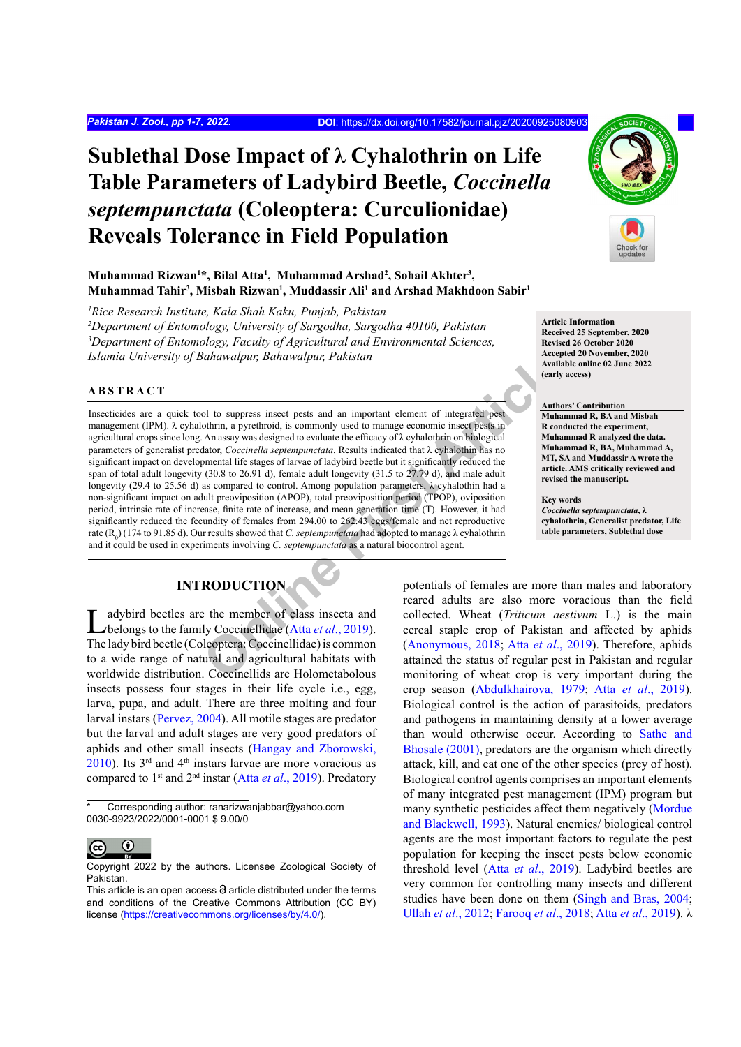# **Sublethal Dose Impact of λ Cyhalothrin on Life Table Parameters of Ladybird Beetle,** *Coccinella septempunctata* **(Coleoptera: Curculionidae) Reveals Tolerance in Field Population**

## **Muhammad Rizwan<sup>1</sup> \*, Bilal Atta<sup>1</sup> , Muhammad Arshad<sup>2</sup> , Sohail Akhter<sup>3</sup> , Muhammad Tahir<sup>3</sup> , Misbah Rizwan<sup>1</sup> , Muddassir Ali<sup>1</sup> and Arshad Makhdoon Sabir<sup>1</sup>**

*1 Rice Research Institute, Kala Shah Kaku, Punjab, Pakistan*

*2 Department of Entomology, University of Sargodha, Sargodha 40100, Pakistan* <sup>3</sup>Department of Entomology, Faculty of Agricultural and Environmental Sciences, *Islamia University of Bahawalpur, Bahawalpur, Pakistan*

## **ABSTRACT**

Mach[i](#page-4-0)na and Screen and manufactural and the state and the subsect per also the subsect per also the subsect and a state of integrated pest and a state of expression of the control of the control of the control of the cont Insecticides are a quick tool to suppress insect pests and an important element of integrated pest management (IPM).  $\lambda$  cyhalothrin, a pyrethroid, is commonly used to manage economic insect pests in agricultural crops since long. An assay was designed to evaluate the efficacy of  $\lambda$  cyhalothrin on biological parameters of generalist predator, *Coccinella septempunctata*. Results indicated that λ cyhalothin has no significant impact on developmental life stages of larvae of ladybird beetle but it significantly reduced the span of total adult longevity (30.8 to 26.91 d), female adult longevity (31.5 to 27.79 d), and male adult longevity (29.4 to 25.56 d) as compared to control. Among population parameters,  $\lambda$  cyhalothin had a non-significant impact on adult preoviposition (APOP), total preoviposition period (TPOP), oviposition period, intrinsic rate of increase, finite rate of increase, and mean generation time (T). However, it had significantly reduced the fecundity of females from 294.00 to 262.43 eggs/female and net reproductive rate (R<sub>0</sub>) (174 to 91.85 d). Our results showed that *C. septempunctata* had adopted to manage λ cyhalothrin and it could be used in experiments involving *C. septempunctata* as a natural biocontrol agent.

# **INTRODUCTION**

Ladybird beetles are the member of class insecta and belongs to the family Coccinellidae (Atta *et al.*, 2019). The lady bird beetle (Coleoptera: Coccinellidae) is common to a wide range of natural and agricultural habitats with worldwide distribution. Coccinellids are Holometabolous insects possess four stages in their life cycle i.e., egg, larva, pupa, and adult. There are three molting and four larval instars [\(Pervez, 2004](#page-4-1)). All motile stages are predator but the larval and adult stages are very good predators of aphids and other small insects ([Hangay and Zborowski,](#page-5-0) [2010\)](#page-5-0). Its  $3<sup>rd</sup>$  and  $4<sup>th</sup>$  instars larvae are more voracious as compared to 1st and 2nd instar (Atta *et al*[., 2019](#page-4-0)). Predatory

Corresponding author: ranarizwanjabbar@yahoo.com 0030-9923/2022/0001-0001 \$ 9.00/0



Copyright 2022 by the authors. Licensee Zoological Society of Pakistan.



## **Article Information**

**Received 25 September, 2020 Revised 26 October 2020 Accepted 20 November, 2020 Available online 02 June 2022 (early access)**

#### **Authors' Contribution**

**Muhammad R, BA and Misbah R conducted the experiment, Muhammad R analyzed the data. Muhammad R, BA, Muhammad A, MT, SA and Muddassir A wrote the article. AMS critically reviewed and revised the manuscript.** 

#### **Key words**

*Coccinella septempunctata***, λ cyhalothrin, Generalist predator, Life table parameters, Sublethal dose**

potentials of females are more than males and laboratory reared adults are also more voracious than the field collected. Wheat (*Triticum aestivum* L.) is the main cereal staple crop of Pakistan and affected by aphids (Anonymous, 2018; Atta *et al*., 2019). Therefore, aphids attained the status of regular pest in Pakistan and regular monitoring of wheat crop is very important during the crop season ([Abdulkhairova, 1979](#page-4-1); Atta *et al*[., 2019](#page-4-0)). Biological control is the action of parasitoids, predators and pathogens in maintaining density at a lower average than would otherwise occur. According to [Sathe and](#page-5-1) [Bhosale \(2001\)](#page-5-1), predators are the organism which directly attack, kill, and eat one of the other species (prey of host). Biological control agents comprises an important elements of many integrated pest management (IPM) program but many synthetic pesticides affect them negatively ([Mordue](#page-5-2) [and Blackwell, 1993\)](#page-5-2). Natural enemies/ biological control agents are the most important factors to regulate the pest population for keeping the insect pests below economic threshold level (Atta *et al*[., 2019\)](#page-4-0). Ladybird beetles are very common for controlling many insects and different studies have been done on them [\(Singh and Bras, 2004](#page-5-3); Ullah *et al*[., 2012](#page-6-0); Farooq *et al*., 2018; Atta *et al*[., 2019](#page-4-0)). λ

This article is an open access  $\Theta$  article distributed under the terms and conditions of the Creative Commons Attribution (CC BY) license (https://creativecommons.org/licenses/by/4.0/).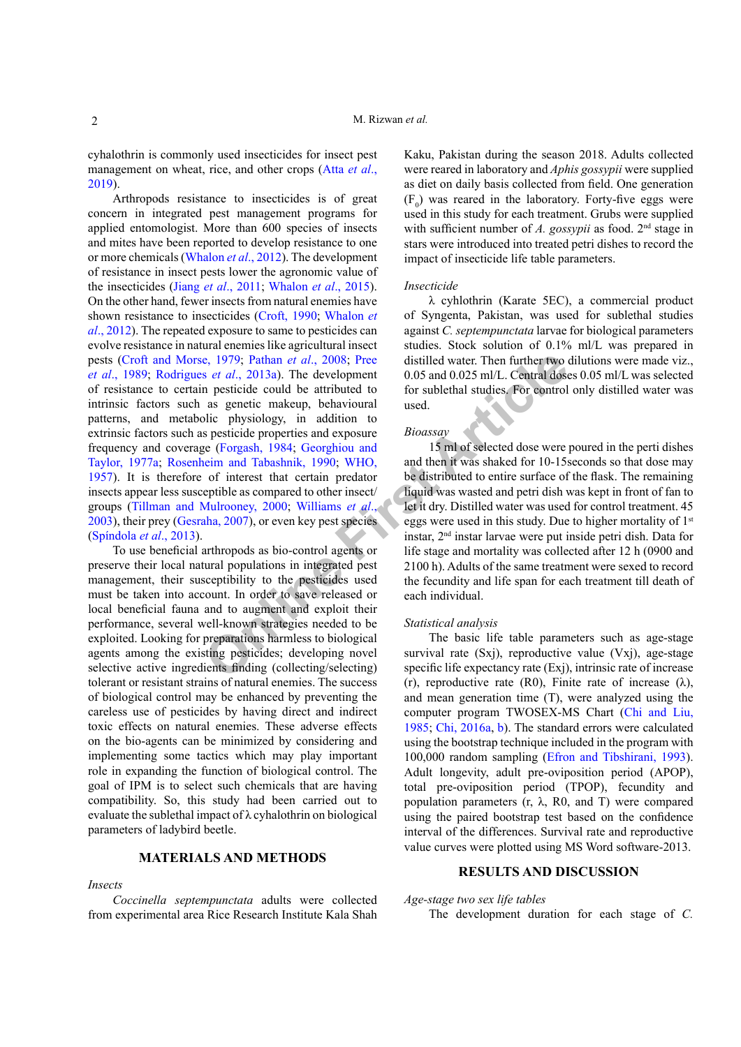cyhalothrin is commonly used insecticides for insect pest management on wheat, rice, and other crops ([Atta](#page-4-0) *et al*., [2019](#page-4-0)).

**Example 1979;** Pathan *et al.*, 2008; Pree distilled water. Then further two set al., 2013a). The development 0.05 and 0.025 ml/L. Central doses are neutride could be attributed to for sublethal studies. For control and Arthropods resistance to insecticides is of great concern in integrated pest management programs for applied entomologist. More than 600 species of insects and mites have been reported to develop resistance to one or more chemicals ([Whalon](#page-6-1) *et al*., 2012). The development of resistance in insect pests lower the agronomic value of the insecticides (Jiang *et al*[., 2011](#page-5-4); [Whalon](#page-6-1) *et al*., 2015). On the other hand, fewer insects from natural enemies have shown resistance to insecticides ([Croft, 1990](#page-5-5); [Whalon](#page-6-1) *et al*[., 2012\)](#page-6-1). The repeated exposure to same to pesticides can evolve resistance in natural enemies like agricultural insect pests (Croft and Morse, 1979; Pathan *et al*., 2008; Pree *et al*., 1989; Rodrigues *et al*., 2013a). The development of resistance to certain pesticide could be attributed to intrinsic factors such as genetic makeup, behavioural patterns, and metabolic physiology, in addition to extrinsic factors such as pesticide properties and exposure frequency and coverage (Forgash, 1984; Georghiou and [Taylor, 1977](#page-5-8)a; Rosenheim and Tabashnik, 1990; WHO, [1957\)](#page-6-2). It is therefore of interest that certain predator insects appear less susceptible as compared to other insect/ groups (Tillman and Mulrooney, 2000; Williams *et al*., 2003), their prey [\(Gesraha, 2007\)](#page-5-9), or even key pest species (Spíndola *et al*., 2013).

To use beneficial arthropods as bio-control agents or preserve their local natural populations in integrated pest management, their susceptibility to the pesticides used must be taken into account. In order to save released or local beneficial fauna and to augment and exploit their performance, several well-known strategies needed to be exploited. Looking for preparations harmless to biological agents among the existing pesticides; developing novel selective active ingredients finding (collecting/selecting) tolerant or resistant strains of natural enemies. The success of biological control may be enhanced by preventing the careless use of pesticides by having direct and indirect toxic effects on natural enemies. These adverse effects on the bio-agents can be minimized by considering and implementing some tactics which may play important role in expanding the function of biological control. The goal of IPM is to select such chemicals that are having compatibility. So, this study had been carried out to evaluate the sublethal impact of  $\lambda$  cyhalothrin on biological parameters of ladybird beetle.

# **MATERIALS AND METHODS**

#### *Insects*

*Coccinella septempunctata* adults were collected from experimental area Rice Research Institute Kala Shah

Kaku, Pakistan during the season 2018. Adults collected were reared in laboratory and *Aphis gossypii* were supplied as diet on daily basis collected from field. One generation  $(F_0)$  was reared in the laboratory. Forty-five eggs were used in this study for each treatment. Grubs were supplied with sufficient number of *A. gossypii* as food. 2<sup>nd</sup> stage in stars were introduced into treated petri dishes to record the impact of insecticide life table parameters.

#### *Insecticide*

λ cyhlothrin (Karate 5EC), a commercial product of Syngenta, Pakistan, was used for sublethal studies against *C. septempunctata* larvae for biological parameters studies. Stock solution of 0.1% ml/L was prepared in distilled water. Then further two dilutions were made viz., 0.05 and 0.025 ml/L. Central doses 0.05 ml/L was selected for sublethal studies. For control only distilled water was used.

#### *Bioassay*

15 ml of selected dose were poured in the perti dishes and then it was shaked for 10-15seconds so that dose may be distributed to entire surface of the flask. The remaining liquid was wasted and petri dish was kept in front of fan to let it dry. Distilled water was used for control treatment. 45 eggs were used in this study. Due to higher mortality of 1st instar, 2nd instar larvae were put inside petri dish. Data for life stage and mortality was collected after 12 h (0900 and 2100 h). Adults of the same treatment were sexed to record the fecundity and life span for each treatment till death of each individual.

#### *Statistical analysis*

The basic life table parameters such as age-stage survival rate (Sxj), reproductive value (Vxj), age-stage specific life expectancy rate (Exj), intrinsic rate of increase (r), reproductive rate (R0), Finite rate of increase  $(\lambda)$ , and mean generation time (T), were analyzed using the computer program TWOSEX-MS Chart ([Chi and Liu,](#page-4-3) 1985; [Chi, 2016a,](#page-4-4) [b\)](#page-4-5). The standard errors were calculated using the bootstrap technique included in the program with 100,000 random sampling [\(Efron and Tibshirani, 1993](#page-5-10)). Adult longevity, adult pre-oviposition period (APOP), total pre-oviposition period (TPOP), fecundity and population parameters  $(r, \lambda, R0,$  and T) were compared using the paired bootstrap test based on the confidence interval of the differences. Survival rate and reproductive value curves were plotted using MS Word software-2013.

# **RESULTS AND DISCUSSION**

*Age-stage two sex life tables*

The development duration for each stage of *C.*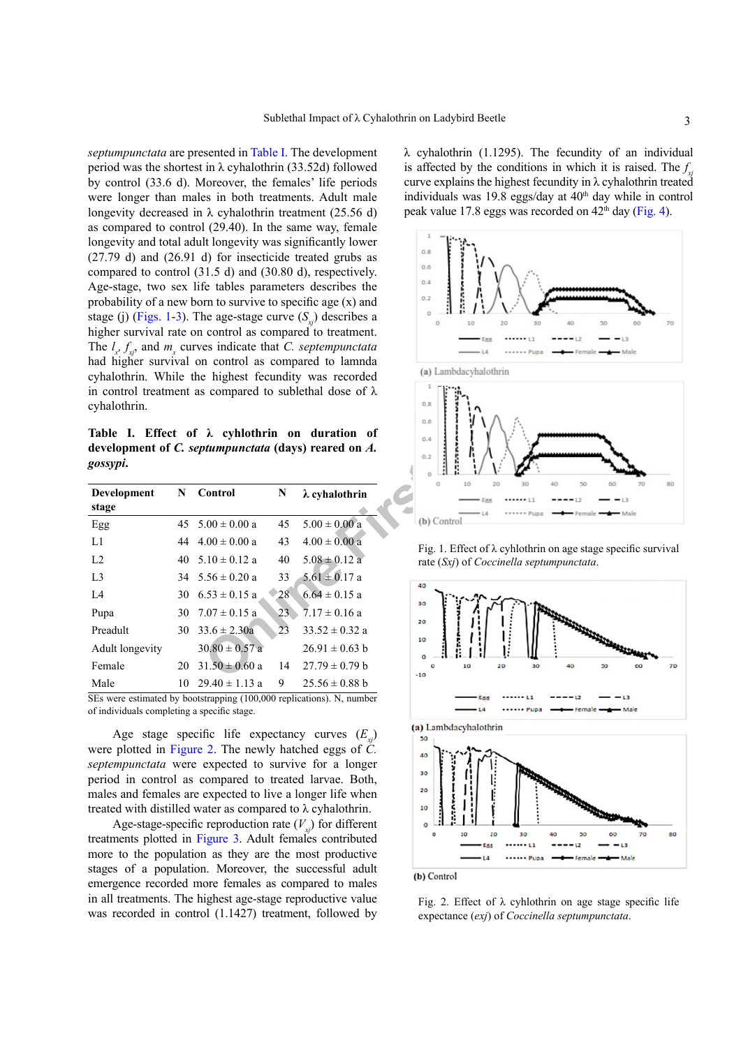*septumpunctata* are presented in [Table I.](#page-2-0) The development period was the shortest in λ cyhalothrin (33.52d) followed by control (33.6 d). Moreover, the females' life periods were longer than males in both treatments. Adult male longevity decreased in  $\lambda$  cyhalothrin treatment (25.56 d) as compared to control (29.40). In the same way, female longevity and total adult longevity was significantly lower (27.79 d) and (26.91 d) for insecticide treated grubs as compared to control (31.5 d) and (30.80 d), respectively. Age-stage, two sex life tables parameters describes the probability of a new born to survive to specific age (x) and stage (j) [\(Figs. 1](#page-2-1)-[3](#page-3-0)). The age-stage curve  $(S_n)$  describes a higher survival rate on control as compared to treatment. The  $l_x$ ,  $f_{xy}$ , and  $m_x$  curves indicate that *C. septempunctata* had higher survival on control as compared to lamnda cyhalothrin. While the highest fecundity was recorded in control treatment as compared to sublethal dose of  $\lambda$ cyhalothrin.

<span id="page-2-0"></span>**Table I. Effect of λ cyhlothrin on duration of development of** *C. septumpunctata* **(days) reared on** *A. gossypi***.**

| cyhalothrin.<br>gossypi.    |    |                      |    | had higher survival on control as compared to lamnda<br>cyhalothrin. While the highest fecundity was recorded<br>in control treatment as compared to sublethal dose of $\lambda$<br>Table I. Effect of $\lambda$ cyhlothrin on duration of<br>development of C. septumpunctata (days) reared on A. | (a) Lambdacyhalothrin<br>0.8<br>0.6<br>0.4<br>0.2 |
|-----------------------------|----|----------------------|----|----------------------------------------------------------------------------------------------------------------------------------------------------------------------------------------------------------------------------------------------------------------------------------------------------|---------------------------------------------------|
| <b>Development</b><br>stage | N  | Control              | N  | $\lambda$ cyhalothrin                                                                                                                                                                                                                                                                              | 20<br>40<br>10<br>30<br>o                         |
| Egg                         |    | 45 $5.00 \pm 0.00$ a | 45 | $5.00 \pm 0.00 a$                                                                                                                                                                                                                                                                                  | (b) Control                                       |
| L1                          |    | 44 $4.00 \pm 0.00$ a | 43 | $4.00 \pm 0.00$ a                                                                                                                                                                                                                                                                                  | Fig. 1. Effect of λ cyhlothrin on ag              |
| L2                          |    | 40 $5.10 \pm 0.12$ a | 40 | $5.08 \pm 0.12$ a                                                                                                                                                                                                                                                                                  | rate $(Sxi)$ of <i>Coccinella septumpul</i>       |
| L <sub>3</sub>              |    | 34 $5.56 \pm 0.20$ a | 33 | $5.61 \pm 0.17$ a                                                                                                                                                                                                                                                                                  | 40                                                |
| L4                          | 30 | $6.53 \pm 0.15$ a    | 28 | $6.64 \pm 0.15$ a                                                                                                                                                                                                                                                                                  | 30                                                |
| Pupa                        | 30 | $7.07 \pm 0.15$ a    | 23 | $7.17 \pm 0.16$ a                                                                                                                                                                                                                                                                                  | 20                                                |
| Preadult                    | 30 | $33.6 \pm 2.30a$     | 23 | $33.52 \pm 0.32$ a                                                                                                                                                                                                                                                                                 |                                                   |
| Adult longevity             |    | $30.80 \pm 0.57$ a   |    | $26.91 \pm 0.63$ b                                                                                                                                                                                                                                                                                 | 10                                                |
| Female                      | 20 | $31.50 \pm 0.60$ a   | 14 | $27.79 \pm 0.79$ b                                                                                                                                                                                                                                                                                 | 20<br>30<br>10<br>$-10$                           |
| Male                        | 10 | $29.40 \pm 1.13$ a   | 9  | $25.56 \pm 0.88$ b                                                                                                                                                                                                                                                                                 |                                                   |

SEs were estimated by bootstrapping (100,000 replications). N, number of individuals completing a specific stage.

Age stage specific life expectancy curves  $(E_n)$ were plotted in [Figure 2.](#page-2-2) The newly hatched eggs of *C. septempunctata* were expected to survive for a longer period in control as compared to treated larvae. Both, males and females are expected to live a longer life when treated with distilled water as compared to  $\lambda$  cyhalothrin.

Age-stage-specific reproduction rate  $(V_{y})$  for different treatments plotted in [Figure 3](#page-3-0). Adult females contributed more to the population as they are the most productive stages of a population. Moreover, the successful adult emergence recorded more females as compared to males in all treatments. The highest age-stage reproductive value was recorded in control  $(1.1427)$  treatment, followed by  $λ$  cyhalothrin (1.1295). The fecundity of an individual is affected by the conditions in which it is raised. The  $f_{\rm xy}$ curve explains the highest fecundity in  $\lambda$  cyhalothrin treated individuals was 19.8 eggs/day at 40<sup>th</sup> day while in control peak value 17.8 eggs was recorded on  $42<sup>th</sup>$  day ([Fig. 4](#page-3-1)).



<span id="page-2-1"></span>Fig. 1. Effect of  $\lambda$  cyhlothrin on age stage specific survival rate (*Sxj*) of *Coccinella septumpunctata*.



<span id="page-2-2"></span>Fig. 2. Effect of  $\lambda$  cyhlothrin on age stage specific life expectance (*exj*) of *Coccinella septumpunctata*.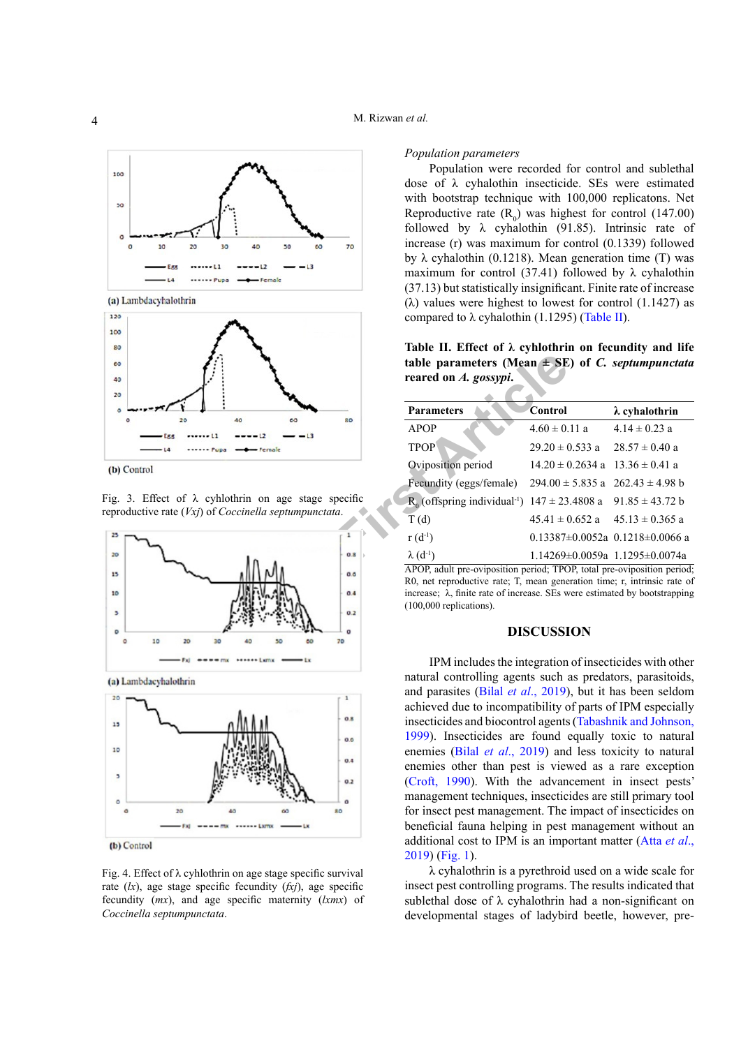

(a) Lambdacyhalothrin



(b) Control

<span id="page-3-0"></span>Fig. 3. Effect of  $\lambda$  cyhlothrin on age stage specific reproductive rate (*Vxj*) of *Coccinella septumpunctata*.



(b) Control

<span id="page-3-1"></span>Fig. 4. Effect of λ cyhlothrin on age stage specific survival rate (*lx*), age stage specific fecundity (*fxj*), age specific fecundity (*mx*), and age specific maternity (*lxmx*) of *Coccinella septumpunctata*.

## *Population parameters*

Population were recorded for control and sublethal dose of λ cyhalothin insecticide. SEs were estimated with bootstrap technique with 100,000 replicatons. Net Reproductive rate  $(R_0)$  was highest for control (147.00) followed by  $\lambda$  cyhalothin (91.85). Intrinsic rate of increase (r) was maximum for control (0.1339) followed by λ cyhalothin (0.1218). Mean generation time (T) was maximum for control (37.41) followed by  $\lambda$  cyhalothin (37.13) but statistically insignificant. Finite rate of increase (λ) values were highest to lowest for control  $(1.1427)$  as compared to λ cyhalothin (1.1295) [\(Table II](#page-3-2)).

<span id="page-3-2"></span>**Table II. Effect of λ cyhlothrin on fecundity and life table parameters (Mean ± SE) of** *C. septumpunctata*  **reared on** *A. gossypi***.**

|                                  | table parameters (Mean $\pm$ SE) of C. septumpunctata<br>reared on A. gossypi.                                                                                                                                                                                        |                                            |                                         |  |  |
|----------------------------------|-----------------------------------------------------------------------------------------------------------------------------------------------------------------------------------------------------------------------------------------------------------------------|--------------------------------------------|-----------------------------------------|--|--|
|                                  | <b>Parameters</b>                                                                                                                                                                                                                                                     | <b>Control</b>                             | $\lambda$ cyhalothrin                   |  |  |
| 40<br>80                         | <b>APOP</b>                                                                                                                                                                                                                                                           | $4.60 \pm 0.11$ a                          | $4.14 \pm 0.23$ a                       |  |  |
|                                  | <b>TPOP</b>                                                                                                                                                                                                                                                           | $29.20 \pm 0.533$ a                        | $28.57 \pm 0.40$ a                      |  |  |
|                                  | Oviposition period                                                                                                                                                                                                                                                    | $14.20 \pm 0.2634$ a $13.36 \pm 0.41$ a    |                                         |  |  |
|                                  | Fecundity (eggs/female)                                                                                                                                                                                                                                               | $294.00 \pm 5.835$ a $262.43 \pm 4.98$ b   |                                         |  |  |
| cyhlothrin on age stage specific | $R_0$ (offspring individual <sup>-1</sup> ) $147 \pm 23.4808$ a $91.85 \pm 43.72$ b                                                                                                                                                                                   |                                            |                                         |  |  |
| of Coccinella septumpunctata.    | T(d)                                                                                                                                                                                                                                                                  | $45.41 \pm 0.652$ a $45.13 \pm 0.365$ a    |                                         |  |  |
|                                  | $r(d^{-1})$                                                                                                                                                                                                                                                           |                                            | $0.13387\pm0.0052a$ $0.1218\pm0.0066$ a |  |  |
| 0.8                              | $\lambda$ (d <sup>-1</sup> )                                                                                                                                                                                                                                          | $1.14269 \pm 0.0059a$ 1.1295 $\pm 0.0074a$ |                                         |  |  |
| 0.6<br>0.4<br>0.2                | APOP, adult pre-oviposition period; TPOP, total pre-oviposition period<br>R0, net reproductive rate; T, mean generation time; r, intrinsic rate of<br>increase; $\lambda$ , finite rate of increase. SEs were estimated by bootstrapping<br>$(100,000$ replications). |                                            |                                         |  |  |
| $\Omega$<br>70                   | <b>DISCUSSION</b>                                                                                                                                                                                                                                                     |                                            |                                         |  |  |
|                                  | IPM includes the integration of insecticides with other<br>natural controlling agents such as predators parasitoids                                                                                                                                                   |                                            |                                         |  |  |

## **DISCUSSION**

IPM includes the integration of insecticides with other natural controlling agents such as predators, parasitoids, and parasites (Bilal *et al*[., 2019\)](#page-4-6), but it has been seldom achieved due to incompatibility of parts of IPM especially insecticides and biocontrol agents ([Tabashnik and Johnson,](#page-6-3)  [1999](#page-6-3)). Insecticides are found equally toxic to natural enemies (Bilal *et al*[., 2019\)](#page-4-6) and less toxicity to natural enemies other than pest is viewed as a rare exception ([Croft, 1990](#page-5-5)). With the advancement in insect pests' management techniques, insecticides are still primary tool for insect pest management. The impact of insecticides on beneficial fauna helping in pest management without an additional cost to IPM is an important matter ([Atta](#page-4-0) *et al*., [2019](#page-4-0)) ([Fig. 1](#page-2-1)).

λ cyhalothrin is a pyrethroid used on a wide scale for insect pest controlling programs. The results indicated that sublethal dose of λ cyhalothrin had a non-significant on developmental stages of ladybird beetle, however, pre-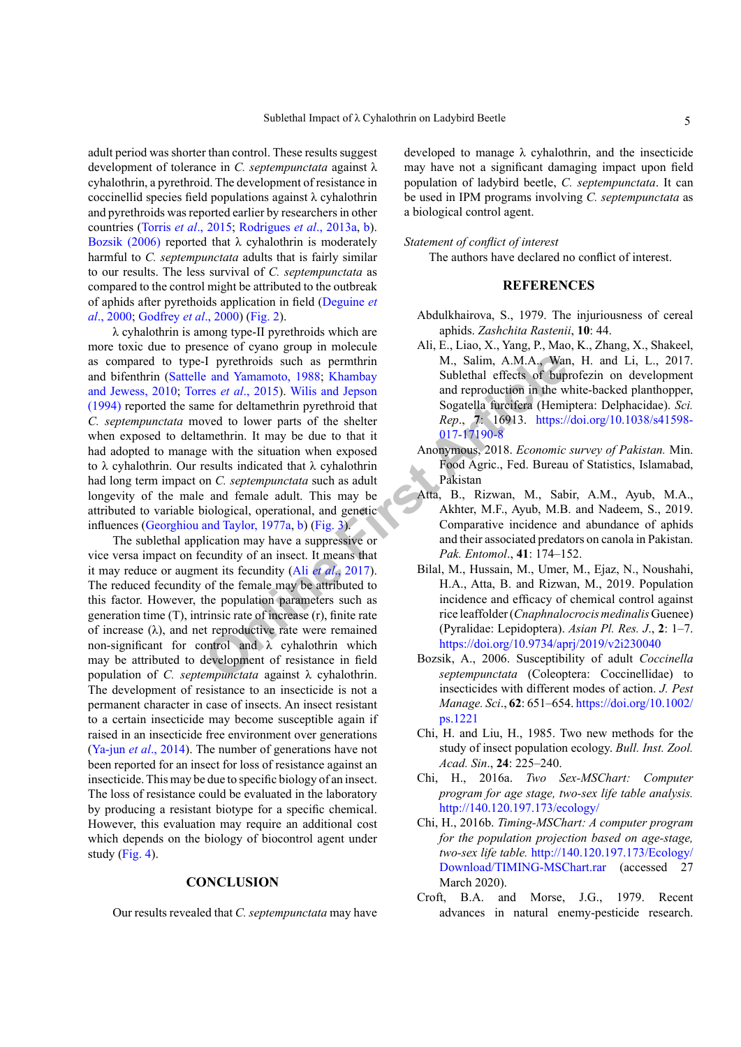adult period was shorter than control. These results suggest development of tolerance in *C. septempunctata* against λ cyhalothrin, a pyrethroid. The development of resistance in coccinellid species field populations against λ cyhalothrin and pyrethroids was reported earlier by researchers in other countries (Torris *et al*[., 2015](#page-6-4); [Rodrigues](#page-5-6) *et al*., 2013a, [b](#page-5-11)). [Bozsik \(2006\)](#page-4-7) reported that  $\lambda$  cyhalothrin is moderately harmful to *C. septempunctata* adults that is fairly similar to our results. The less survival of *C. septempunctata* as compared to the control might be attributed to the outbreak of aphids after pyrethoids application in field [\(Deguine](#page-5-12) *et al*[., 2000](#page-5-12); [Godfrey](#page-5-13) *et al*., 2000) ([Fig. 2](#page-2-2)).

**[F](#page-3-0)** interaction of the function of the function of the search of the search of the search of the search of the search of the search of the search of the search of the search of the search of the search of the search of th λ cyhalothrin is among type-II pyrethroids which are more toxic due to presence of cyano group in molecule as compared to type-I pyrethroids such as permthrin and bifenthrin (Sattelle and Yamamoto, 1988; Khambay [and Jewess, 2010](#page-5-15); Torres *et al*., 2015). Wilis and Jepson [\(1994\)](#page-6-5) reported the same for deltamethrin pyrethroid that *C. septempunctata* moved to lower parts of the shelter when exposed to deltamethrin. It may be due to that it had adopted to manage with the situation when exposed to λ cyhalothrin. Our results indicated that λ cyhalothrin had long term impact on *C. septempunctata* such as adult longevity of the male and female adult. This may be attributed to variable biological, operational, and genetic influences (Georghiou and Taylor, 1977a, b) (Fig. 3).

The sublethal application may have a suppressive or vice versa impact on fecundity of an insect. It means that it may reduce or augment its fecundity (Ali *et al*., 2017). The reduced fecundity of the female may be attributed to this factor. However, the population parameters such as generation time (T), intrinsic rate of increase (r), finite rate of increase  $(\lambda)$ , and net reproductive rate were remained non-significant for control and  $\lambda$  cyhalothrin which may be attributed to development of resistance in field population of *C. septempunctata* against λ cyhalothrin. The development of resistance to an insecticide is not a permanent character in case of insects. An insect resistant to a certain insecticide may become susceptible again if raised in an insecticide free environment over generations ([Ya-jun](#page-6-6) *et al*., 2014). The number of generations have not been reported for an insect for loss of resistance against an insecticide. This may be due to specific biology of an insect. The loss of resistance could be evaluated in the laboratory by producing a resistant biotype for a specific chemical. However, this evaluation may require an additional cost which depends on the biology of biocontrol agent under study [\(Fig. 4](#page-3-1)).

#### **CONCLUSION**

Our results revealed that *C. septempunctata* may have

developed to manage  $\lambda$  cyhalothrin, and the insecticide may have not a significant damaging impact upon field population of ladybird beetle, *C. septempunctata*. It can be used in IPM programs involving *C. septempunctata* as a biological control agent.

#### *Statement of conflict of interest*

The authors have declared no conflict of interest.

# **REFERENCES**

- <span id="page-4-1"></span>Abdulkhairova, S., 1979. The injuriousness of cereal aphids. *Zashchita Rastenii*, **10**: 44.
- <span id="page-4-8"></span>Ali, E., Liao, X., Yang, P., Mao, K., Zhang, X., Shakeel, M., Salim, A.M.A., Wan, H. and Li, L., 2017. Sublethal effects of buprofezin on development and reproduction in the white-backed planthopper, Sogatella furcifera (Hemiptera: Delphacidae). *Sci. Rep*., **7**: 16913. [https://doi.org/10.1038/s41598-](https://doi.org/10.1038/s41598-017-17190-8) 017-17190-8
- <span id="page-4-2"></span>Anonymous, 2018. *Economic survey of Pakistan.* Min. Food Agric., Fed. Bureau of Statistics, Islamabad, Pakistan
- <span id="page-4-0"></span>Atta, B., Rizwan, M., Sabir, A.M., Ayub, M.A., Akhter, M.F., Ayub, M.B. and Nadeem, S., 2019. Comparative incidence and abundance of aphids and their associated predators on canola in Pakistan. *Pak. Entomol*., **41**: 174–152.
- <span id="page-4-6"></span>Bilal, M., Hussain, M., Umer, M., Ejaz, N., Noushahi, H.A., Atta, B. and Rizwan, M., 2019. Population incidence and efficacy of chemical control against rice leaffolder (*Cnaphnalocrocis medinalis* Guenee) (Pyralidae: Lepidoptera). *Asian Pl. Res. J*., **2**: 1–7. <https://doi.org/10.9734/aprj/2019/v2i230040>
- <span id="page-4-7"></span>Bozsik, A., 2006. Susceptibility of adult *Coccinella septempunctata* (Coleoptera: Coccinellidae) to insecticides with different modes of action. *J. Pest Manage. Sci*., **62**: 651–654. [https://doi.org/10.1002/](https://doi.org/10.1002/ps.1221) [ps.1221](https://doi.org/10.1002/ps.1221)
- <span id="page-4-3"></span>Chi, H. and Liu, H., 1985. Two new methods for the study of insect population ecology. *Bull. Inst. Zool. Acad. Sin*., **24**: 225–240.
- <span id="page-4-4"></span>Chi, H., 2016a. *Two Sex-MSChart: Computer program for age stage, two-sex life table analysis.*  <http://140.120.197.173/ecology/>
- <span id="page-4-5"></span>Chi, H., 2016b. *Timing-MSChart: A computer program for the population projection based on age-stage, two-sex life table.* [http://140.120.197.173/Ecology/](http://140.120.197.173/Ecology/Download/TIMING-MSChart.rar) [Download/TIMING-MSChart.rar](http://140.120.197.173/Ecology/Download/TIMING-MSChart.rar) (accessed 27 March 2020).
- Croft, B.A. and Morse, J.G., 1979. Recent advances in natural enemy-pesticide research.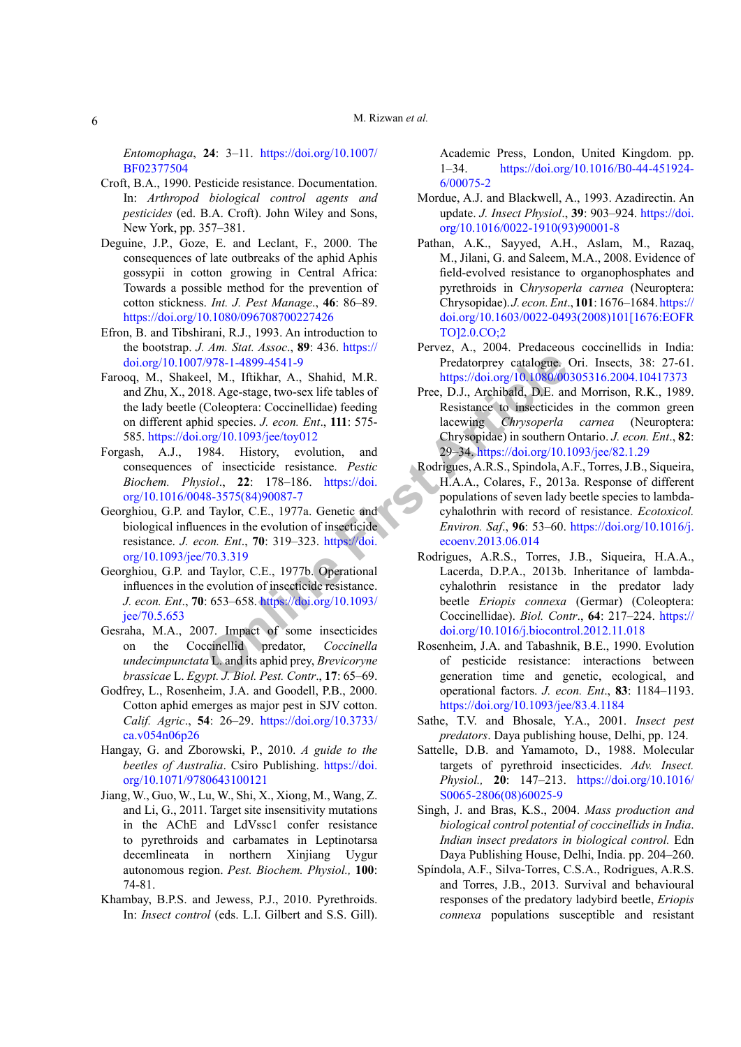*Entomophaga*, **24**: 3–11. [https://doi.org/10.1007/](https://doi.org/10.1007/BF02377504) [BF02377504](https://doi.org/10.1007/BF02377504)

- <span id="page-5-5"></span>Croft, B.A., 1990. Pesticide resistance. Documentation. In: *Arthropod biological control agents and pesticides* (ed. B.A. Croft). John Wiley and Sons, New York, pp. 357–381.
- <span id="page-5-12"></span>Deguine, J.P., Goze, E. and Leclant, F., 2000. The consequences of late outbreaks of the aphid Aphis gossypii in cotton growing in Central Africa: Towards a possible method for the prevention of cotton stickness. *Int. J. Pest Manage*., **46**: 86–89. <https://doi.org/10.1080/096708700227426>
- <span id="page-5-10"></span>Efron, B. and Tibshirani, R.J., 1993. An introduction to the bootstrap. *J. Am. Stat. Assoc*., **89**: 436. [https://](https://doi.org/10.1007/978-1-4899-4541-9) [doi.org/10.1007/978-1-4899-4541-9](https://doi.org/10.1007/978-1-4899-4541-9)
- Farooq, M., Shakeel, M., Iftikhar, A., Shahid, M.R. and Zhu, X., 2018. Age-stage, two-sex life tables of the lady beetle (Coleoptera: Coccinellidae) feeding on different aphid species. *J. econ. Ent*., **111**: 575- 585.<https://doi.org/10.1093/jee/toy012>
- <span id="page-5-7"></span>Forgash, A.J., 1984. History, evolution, and consequences of insecticide resistance. *Pestic Biochem. Physiol*., **22**: 178–186. https://doi. [org/10.1016/0048-3575\(84\)90087-7](https://doi.org/10.1016/0048-3575(84)90087-7)
- <span id="page-5-8"></span>Georghiou, G.P. and Taylor, C.E., 1977a. Genetic and biological influences in the evolution of insecticide resistance. *J. econ. Ent*., **70**: 319–323. https://doi. [org/10.1093/jee/70.3.319](https://doi.org/10.1093/jee/70.3.319)
- <span id="page-5-16"></span>Georghiou, G.P. and Taylor, C.E., 1977b. Operational influences in the evolution of insecticide resistance. *J. econ. Ent*., **70**: 653–658. https://doi.org/10.1093/ [jee/70.5.653](https://doi.org/10.1093/jee/70.5.653)
- <span id="page-5-9"></span>Gesraha, M.A., 2007. Impact of some insecticides on the Coccinellid predator, *Coccinella undecimpunctata* L. and its aphid prey, *Brevicoryne brassicae* L. *Egypt. J. Biol. Pest. Contr*., **17**: 65–69.
- <span id="page-5-13"></span>Godfrey, L., Rosenheim, J.A. and Goodell, P.B., 2000. Cotton aphid emerges as major pest in SJV cotton. *Calif. Agric*., **54**: 26–29. [https://doi.org/10.3733/](https://doi.org/10.3733/ca.v054n06p26) [ca.v054n06p26](https://doi.org/10.3733/ca.v054n06p26)
- <span id="page-5-14"></span><span id="page-5-0"></span>Hangay, G. and Zborowski, P., 2010. *A guide to the beetles of Australia*. Csiro Publishing. [https://doi.](https://doi.org/10.1071/9780643100121) [org/10.1071/9780643100121](https://doi.org/10.1071/9780643100121)
- <span id="page-5-4"></span><span id="page-5-3"></span>Jiang, W., Guo, W., Lu, W., Shi, X., Xiong, M., Wang, Z. and Li, G., 2011. Target site insensitivity mutations in the AChE and LdVssc1 confer resistance to pyrethroids and carbamates in Leptinotarsa decemlineata in northern Xinjiang Uygur autonomous region. *Pest. Biochem. Physiol.,* **100**: 74-81.
- <span id="page-5-15"></span>Khambay, B.P.S. and Jewess, P.J., 2010. Pyrethroids. In: *Insect control* (eds. L.I. Gilbert and S.S. Gill).

Academic Press, London, United Kingdom. pp. 1–34. [https://doi.org/10.1016/B0-44-451924-](https://doi.org/10.1016/B0-44-451924-6/00075-2) [6/00075-2](https://doi.org/10.1016/B0-44-451924-6/00075-2)

- <span id="page-5-2"></span>Mordue, A.J. and Blackwell, A., 1993. Azadirectin. An update. *J. Insect Physiol*., **39**: 903–924. [https://doi.](https://doi.org/10.1016/0022-1910(93)90001-8) [org/10.1016/0022-1910\(93\)90001-8](https://doi.org/10.1016/0022-1910(93)90001-8)
- Pathan, A.K., Sayyed, A.H., Aslam, M., Razaq, M., Jilani, G. and Saleem, M.A., 2008. Evidence of field-evolved resistance to organophosphates and pyrethroids in C*hrysoperla carnea* (Neuroptera: Chrysopidae). *J. econ. Ent*., **101**: 1676–1684. [https://](https://doi.org/10.1603/0022-0493(2008)101%5b1676:EOFRTO%5d2.0.CO;2) [doi.org/10.1603/0022-0493\(2008\)101\[1676:EOFR](https://doi.org/10.1603/0022-0493(2008)101%5b1676:EOFRTO%5d2.0.CO;2) [TO\]2.0.CO;2](https://doi.org/10.1603/0022-0493(2008)101%5b1676:EOFRTO%5d2.0.CO;2)
- Pervez, A., 2004. Predaceous coccinellids in India: Predatorprey catalogue. Ori. Insects, 38: 27-61. <https://doi.org/10.1080/00305316.2004.10417373>
- <span id="page-5-11"></span><span id="page-5-6"></span><span id="page-5-1"></span>Pree, D.J., Archibald, D.E. and Morrison, R.K., 1989. Resistance to insecticides in the common green lacewing *Chrysoperla carnea* (Neuroptera: Chrysopidae) in southern Ontario. *J. econ. Ent*., **82**: 29–34.<https://doi.org/10.1093/jee/82.1.29>
- 1978-1-4899-4541-9<br>
1978-1-4899-4541-9<br>
1988-Age-stage, two-sex life tables of<br>
Coleoptera: Coccinellidae) feeding<br>
Coleoptera: Coccinellidae) feeding<br>
Coleoptera: Coccinellidae) feeding<br>
18. Age-stage, two-sex life tables Rodrigues, A.R.S., Spindola, A.F., Torres, J.B., Siqueira, H.A.A., Colares, F., 2013a. Response of different populations of seven lady beetle species to lambdacyhalothrin with record of resistance. *Ecotoxicol. Environ. Saf*., **96**: 53–60. [https://doi.org/10.1016/j.](https://doi.org/10.1016/j.ecoenv.2013.06.014) ecoenv.2013.06.014
	- Rodrigues, A.R.S., Torres, J.B., Siqueira, H.A.A., Lacerda, D.P.A., 2013b. Inheritance of lambdacyhalothrin resistance in the predator lady beetle *Eriopis connexa* (Germar) (Coleoptera: Coccinellidae). *Biol. Contr*., **64**: 217–224. [https://](https://doi.org/10.1016/j.biocontrol.2012.11.018) [doi.org/10.1016/j.biocontrol.2012.11.018](https://doi.org/10.1016/j.biocontrol.2012.11.018)
	- Rosenheim, J.A. and Tabashnik, B.E., 1990. Evolution of pesticide resistance: interactions between generation time and genetic, ecological, and operational factors. *J. econ. Ent*., **83**: 1184–1193. <https://doi.org/10.1093/jee/83.4.1184>
	- Sathe, T.V. and Bhosale, Y.A., 2001. *Insect pest predators*. Daya publishing house, Delhi, pp. 124.
	- Sattelle, D.B. and Yamamoto, D., 1988. Molecular targets of pyrethroid insecticides. *Adv. Insect. Physiol.,* **20**: 147–213. [https://doi.org/10.1016/](https://doi.org/10.1016/S0065-2806(08)60025-9) [S0065-2806\(08\)60025-9](https://doi.org/10.1016/S0065-2806(08)60025-9)
	- Singh, J. and Bras, K.S., 2004. *Mass production and biological control potential of coccinellids in India*. *Indian insect predators in biological control.* Edn Daya Publishing House, Delhi, India. pp. 204–260.
	- Spíndola, A.F., Silva-Torres, C.S.A., Rodrigues, A.R.S. and Torres, J.B., 2013. Survival and behavioural responses of the predatory ladybird beetle, *Eriopis connexa* populations susceptible and resistant